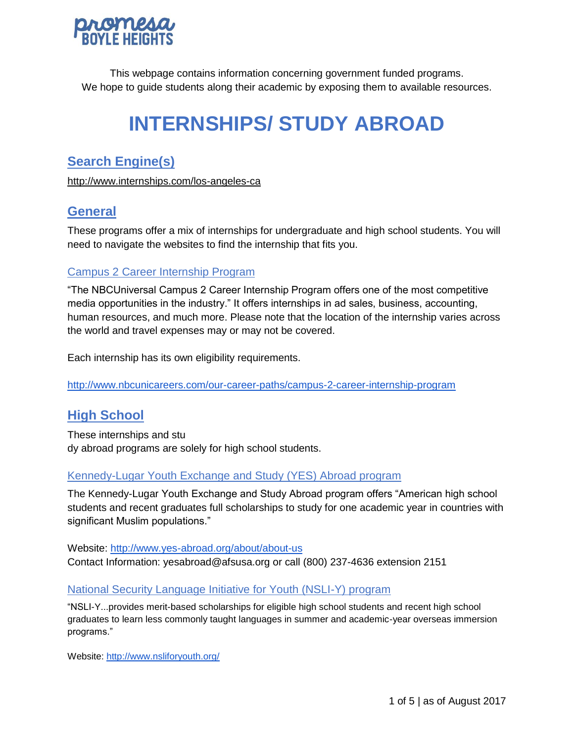

This webpage contains information concerning government funded programs. We hope to guide students along their academic by exposing them to available resources.

# **INTERNSHIPS/ STUDY ABROAD**

# **Search Engine(s)**

<http://www.internships.com/los-angeles-ca>

# **General**

These programs offer a mix of internships for undergraduate and high school students. You will need to navigate the websites to find the internship that fits you.

## Campus 2 Career Internship Program

"The NBCUniversal Campus 2 Career Internship Program offers one of the most competitive media opportunities in the industry." It offers internships in ad sales, business, accounting, human resources, and much more. Please note that the location of the internship varies across the world and travel expenses may or may not be covered.

Each internship has its own eligibility requirements.

<http://www.nbcunicareers.com/our-career-paths/campus-2-career-internship-program>

## **High School**

These internships and stu dy abroad programs are solely for high school students.

#### Kennedy-Lugar Youth Exchange and Study (YES) Abroad program

The Kennedy-Lugar Youth Exchange and Study Abroad program offers "American high school students and recent graduates full scholarships to study for one academic year in countries with significant Muslim populations."

Website:<http://www.yes-abroad.org/about/about-us> Contact Information: yesabroad@afsusa.org or call (800) 237-4636 extension 2151

## National Security Language Initiative for Youth (NSLI-Y) program

"NSLI-Y...provides merit-based scholarships for eligible high school students and recent high school graduates to learn less commonly taught languages in summer and academic-year overseas immersion programs."

Website:<http://www.nsliforyouth.org/>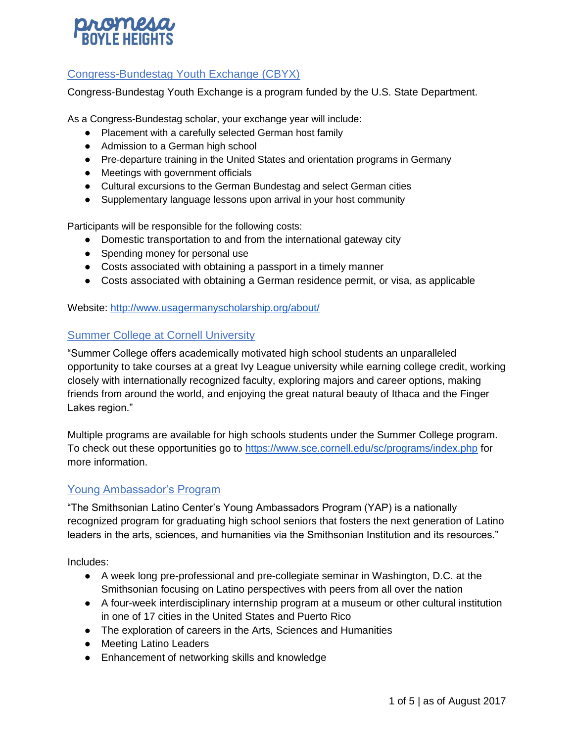

## Congress-Bundestag Youth Exchange (CBYX)

Congress-Bundestag Youth Exchange is a program funded by the U.S. State Department.

As a Congress-Bundestag scholar, your exchange year will include:

- Placement with a carefully selected German host family
- Admission to a German high school
- Pre-departure training in the United States and orientation programs in Germany
- Meetings with government officials
- Cultural excursions to the German Bundestag and select German cities
- Supplementary language lessons upon arrival in your host community

Participants will be responsible for the following costs:

- Domestic transportation to and from the international gateway city
- Spending money for personal use
- Costs associated with obtaining a passport in a timely manner
- Costs associated with obtaining a German residence permit, or visa, as applicable

Website:<http://www.usagermanyscholarship.org/about/>

#### Summer College at Cornell University

"Summer College offers academically motivated high school students an unparalleled opportunity to take courses at a great Ivy League university while earning college credit, working closely with internationally recognized faculty, exploring majors and career options, making friends from around the world, and enjoying the great natural beauty of Ithaca and the Finger Lakes region."

Multiple programs are available for high schools students under the Summer College program. To check out these opportunities go to<https://www.sce.cornell.edu/sc/programs/index.php> for more information.

#### Young Ambassador's Program

"The Smithsonian Latino Center's Young Ambassadors Program (YAP) is a nationally recognized program for graduating high school seniors that fosters the next generation of Latino leaders in the arts, sciences, and humanities via the Smithsonian Institution and its resources."

Includes:

- A week long pre-professional and pre-collegiate seminar in Washington, D.C. at the Smithsonian focusing on Latino perspectives with peers from all over the nation
- A four-week interdisciplinary internship program at a museum or other cultural institution in one of 17 cities in the United States and Puerto Rico
- The exploration of careers in the Arts, Sciences and Humanities
- Meeting Latino Leaders
- Enhancement of networking skills and knowledge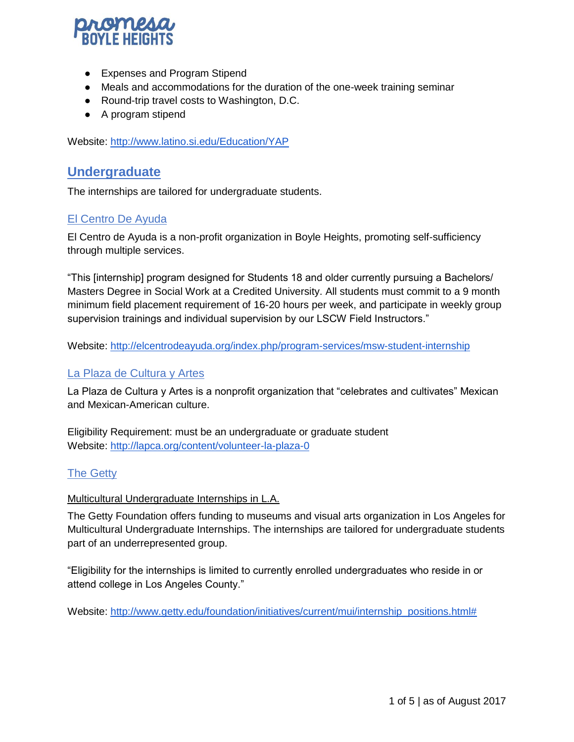

- Expenses and Program Stipend
- Meals and accommodations for the duration of the one-week training seminar
- Round-trip travel costs to Washington, D.C.
- A program stipend

Website:<http://www.latino.si.edu/Education/YAP>

## **Undergraduate**

The internships are tailored for undergraduate students.

#### El Centro De Ayuda

El Centro de Ayuda is a non-profit organization in Boyle Heights, promoting self-sufficiency through multiple services.

"This [internship] program designed for Students 18 and older currently pursuing a Bachelors/ Masters Degree in Social Work at a Credited University. All students must commit to a 9 month minimum field placement requirement of 16-20 hours per week, and participate in weekly group supervision trainings and individual supervision by our LSCW Field Instructors."

Website:<http://elcentrodeayuda.org/index.php/program-services/msw-student-internship>

#### La Plaza de Cultura y Artes

La Plaza de Cultura y Artes is a nonprofit organization that "celebrates and cultivates" Mexican and Mexican-American culture.

Eligibility Requirement: must be an undergraduate or graduate student Website:<http://lapca.org/content/volunteer-la-plaza-0>

## The Getty

#### Multicultural Undergraduate Internships in L.A.

The Getty Foundation offers funding to museums and visual arts organization in Los Angeles for Multicultural Undergraduate Internships. The internships are tailored for undergraduate students part of an underrepresented group.

"Eligibility for the internships is limited to currently enrolled undergraduates who reside in or attend college in Los Angeles County."

Website: [http://www.getty.edu/foundation/initiatives/current/mui/internship\\_positions.html#](http://www.getty.edu/foundation/initiatives/current/mui/internship_positions.html)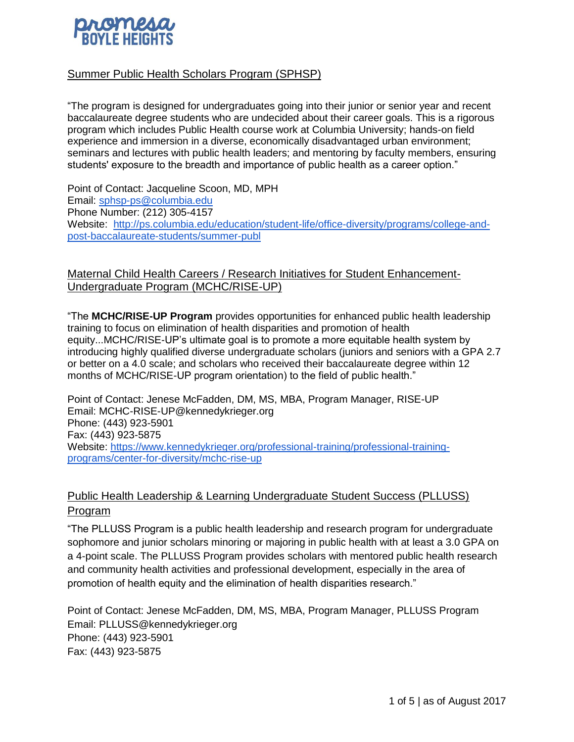

## Summer Public Health Scholars Program (SPHSP)

"The program is designed for undergraduates going into their junior or senior year and recent baccalaureate degree students who are undecided about their career goals. This is a rigorous program which includes Public Health course work at Columbia University; hands-on field experience and immersion in a diverse, economically disadvantaged urban environment; seminars and lectures with public health leaders; and mentoring by faculty members, ensuring students' exposure to the breadth and importance of public health as a career option."

Point of Contact: Jacqueline Scoon, MD, MPH Email: [sphsp-ps@columbia.edu](mailto:sphsp-ps@columbia.edu) Phone Number: (212) 305-4157 Website: [http://ps.columbia.edu/education/student-life/office-diversity/programs/college-and](http://ps.columbia.edu/education/student-life/office-diversity/programs/college-and-post-baccalaureate-students/summer-publ)[post-baccalaureate-students/summer-publ](http://ps.columbia.edu/education/student-life/office-diversity/programs/college-and-post-baccalaureate-students/summer-publ)

Maternal Child Health Careers / Research Initiatives for Student Enhancement-Undergraduate Program (MCHC/RISE-UP)

"The **MCHC/RISE-UP Program** provides opportunities for enhanced public health leadership training to focus on elimination of health disparities and promotion of health equity...MCHC/RISE-UP's ultimate goal is to promote a more equitable health system by introducing highly qualified diverse undergraduate scholars (juniors and seniors with a GPA 2.7 or better on a 4.0 scale; and scholars who received their baccalaureate degree within 12 months of MCHC/RISE-UP program orientation) to the field of public health."

Point of Contact: Jenese McFadden, DM, MS, MBA, Program Manager, RISE-UP Email: MCHC-RISE-UP@kennedykrieger.org Phone: (443) 923-5901 Fax: (443) 923-5875 Website: [https://www.kennedykrieger.org/professional-training/professional-training](https://www.kennedykrieger.org/professional-training/professional-training-programs/center-for-diversity/mchc-rise-up)[programs/center-for-diversity/mchc-rise-up](https://www.kennedykrieger.org/professional-training/professional-training-programs/center-for-diversity/mchc-rise-up)

## Public Health Leadership & Learning Undergraduate Student Success (PLLUSS) Program

"The PLLUSS Program is a public health leadership and research program for undergraduate sophomore and junior scholars minoring or majoring in public health with at least a 3.0 GPA on a 4-point scale. The PLLUSS Program provides scholars with mentored public health research and community health activities and professional development, especially in the area of promotion of health equity and the elimination of health disparities research."

Point of Contact: Jenese McFadden, DM, MS, MBA, Program Manager, PLLUSS Program Email: PLLUSS@kennedykrieger.org Phone: (443) 923-5901 Fax: (443) 923-5875